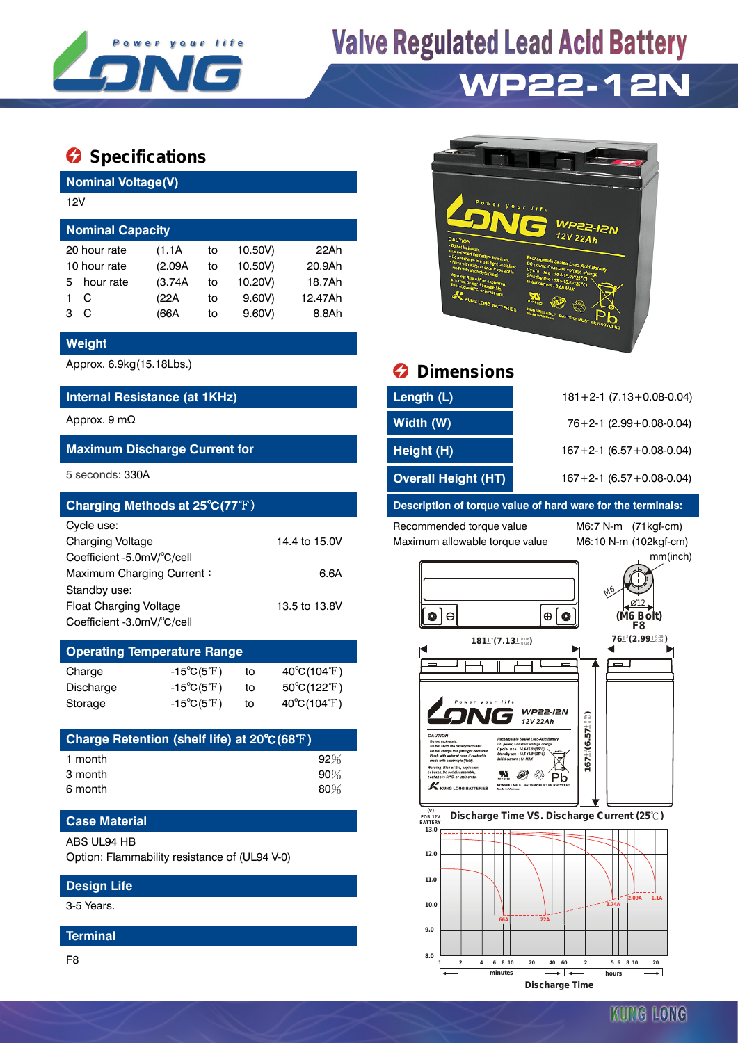

## **Valve Regulated Lead Acid Battery WP22-12N**

### $\bullet$  Specifications

**Nominal Voltage(V)**

| 12V                     |              |         |    |         |         |  |  |  |  |
|-------------------------|--------------|---------|----|---------|---------|--|--|--|--|
| <b>Nominal Capacity</b> |              |         |    |         |         |  |  |  |  |
|                         | 20 hour rate | (1.1A)  | to | 10.50V) | 22Ah    |  |  |  |  |
| 10 hour rate            |              | (2.09A) | to | 10.50V) | 20.9Ah  |  |  |  |  |
| 5.                      | hour rate    | (3.74A) | to | 10.20V) | 18.7Ah  |  |  |  |  |
|                         | C            | (22A)   | to | 9.60V   | 12.47Ah |  |  |  |  |
| з                       | C            | (66A    | to | 9.60V   | 8.8Ah   |  |  |  |  |

#### **Weight**

#### **Internal Resistance (at 1KHz)**

#### **Maximum Discharge Current for**

| Charging Methods at 25°C(77°F) |               |
|--------------------------------|---------------|
| Cycle use:                     |               |
| <b>Charging Voltage</b>        | 14.4 to 15.0V |
| Coefficient -5.0mV/°C/cell     |               |
| Maximum Charging Current:      | 6.6A          |
| Standby use:                   |               |
| <b>Float Charging Voltage</b>  | 13.5 to 13.8V |
| Coefficient -3.0mV/°C/cell     |               |

#### **Operating Temperature Range**

| Charge    | $-15^{\circ}C(5^{\circ}F)$ | to | $40^{\circ}$ C(104 $^{\circ}$ F)      |
|-----------|----------------------------|----|---------------------------------------|
| Discharge | $-15^{\circ}C(5^{\circ}F)$ | tο | $50^{\circ}$ C(122 $\rm \mathbb{F}$ ) |
| Storage   | $-15^{\circ}C(5^{\circ}F)$ | to | $40^{\circ}C(104^{\circ}F)$           |

| Charge Retention (shelf life) at 20°C(68°F) |        |
|---------------------------------------------|--------|
| 1 month                                     | 92%    |
| 3 month                                     | $90\%$ |
| 6 month                                     | 80%    |

#### **Case Material**

ABS UL94 HB

Option: Flammability resistance of (UL94 V-0)

#### **Design Life**

3-5 Years.

#### **Terminal**

F8



### Approx. 6.9kg(15.18Lbs.) **Dimensions**

| Internal Resistance (at 1KHz)        | Length (L)                 | $181 + 2 - 1$ (7.13 + 0.08 - 0.04) |
|--------------------------------------|----------------------------|------------------------------------|
| Approx. 9 m $\Omega$                 | Width (W)                  | $76+2-1$ (2.99 + 0.08-0.04)        |
| <b>Maximum Discharge Current for</b> | Height (H)                 | $167 + 2 - 1$ (6.57 + 0.08 - 0.04) |
| 5 seconds: 330A                      | <b>Overall Height (HT)</b> | $167 + 2 - 1$ (6.57 + 0.08 - 0.04) |

#### **Description of torque value of hard ware for the terminals:**

Recommended torque value M6:7 N-m (71kgf-cm) Maximum allowable torque value M6:10 N-m (102kgf-cm)